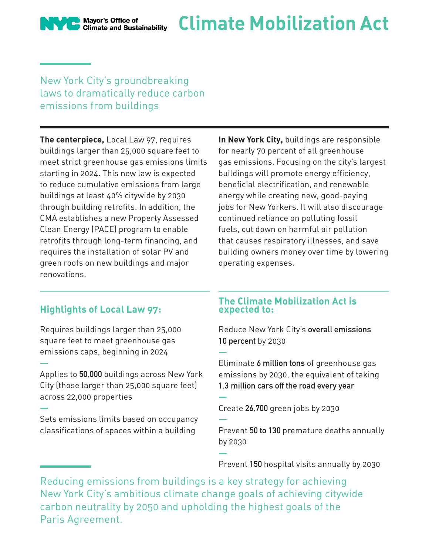Mayor's Office of<br>Climate and Sustainability

# **Climate Mobilization Act**

### New York City's groundbreaking laws to dramatically reduce carbon emissions from buildings

**The centerpiece,** Local Law 97, requires buildings larger than 25,000 square feet to meet strict greenhouse gas emissions limits starting in 2024. This new law is expected to reduce cumulative emissions from large buildings at least 40% citywide by 2030 through building retrofits. In addition, the CMA establishes a new Property Assessed Clean Energy (PACE) program to enable retrofits through long-term financing, and requires the installation of solar PV and green roofs on new buildings and major renovations.

**In New York City,** buildings are responsible for nearly 70 percent of all greenhouse gas emissions. Focusing on the city's largest buildings will promote energy efficiency, beneficial electrification, and renewable energy while creating new, good-paying jobs for New Yorkers. It will also discourage continued reliance on polluting fossil fuels, cut down on harmful air pollution that causes respiratory illnesses, and save building owners money over time by lowering operating expenses.

## **Highlights of Local Law 97:**

**—**

**—**

Requires buildings larger than 25,000 square feet to meet greenhouse gas emissions caps, beginning in 2024

Applies to **50,000** buildings across New York City (those larger than 25,000 square feet) across 22,000 properties

Sets emissions limits based on occupancy classifications of spaces within a building

#### **The Climate Mobilization Act is expected to:**

Reduce New York City's **overall emissions 10 percent** by 2030

Eliminate **6 million tons** of greenhouse gas emissions by 2030, the equivalent of taking **1.3 million cars off the road every year —**

Create **26,700** green jobs by 2030

**—** Prevent **50 to 130** premature deaths annually by 2030

Prevent **150** hospital visits annually by 2030

Reducing emissions from buildings is a key strategy for achieving New York City's ambitious climate change goals of achieving citywide carbon neutrality by 2050 and upholding the highest goals of the Paris Agreement.

**—**

**—**